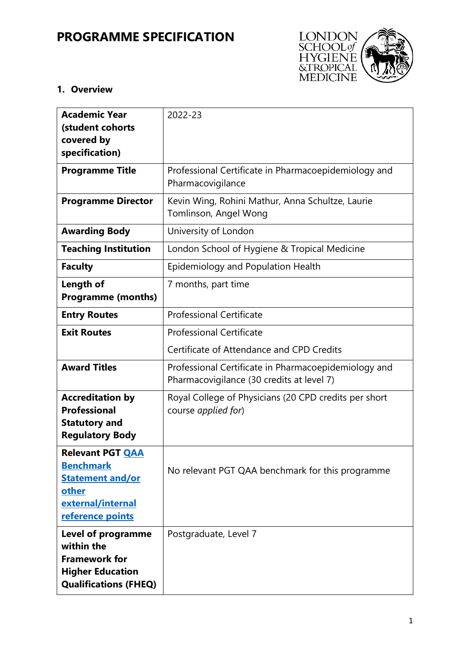# **PROGRAMME SPECIFICATION**



## **1. Overview**

| <b>Academic Year</b><br>(student cohorts<br>covered by<br>specification)                                                   | 2022-23                                                                                           |  |  |  |
|----------------------------------------------------------------------------------------------------------------------------|---------------------------------------------------------------------------------------------------|--|--|--|
| <b>Programme Title</b>                                                                                                     | Professional Certificate in Pharmacoepidemiology and<br>Pharmacovigilance                         |  |  |  |
| <b>Programme Director</b>                                                                                                  | Kevin Wing, Rohini Mathur, Anna Schultze, Laurie<br>Tomlinson, Angel Wong                         |  |  |  |
| <b>Awarding Body</b>                                                                                                       | University of London                                                                              |  |  |  |
| <b>Teaching Institution</b>                                                                                                | London School of Hygiene & Tropical Medicine                                                      |  |  |  |
| <b>Faculty</b>                                                                                                             | Epidemiology and Population Health                                                                |  |  |  |
| Length of<br><b>Programme (months)</b>                                                                                     | 7 months, part time                                                                               |  |  |  |
| <b>Entry Routes</b>                                                                                                        | <b>Professional Certificate</b>                                                                   |  |  |  |
| <b>Exit Routes</b>                                                                                                         | <b>Professional Certificate</b>                                                                   |  |  |  |
|                                                                                                                            | Certificate of Attendance and CPD Credits                                                         |  |  |  |
| <b>Award Titles</b>                                                                                                        | Professional Certificate in Pharmacoepidemiology and<br>Pharmacovigilance (30 credits at level 7) |  |  |  |
| <b>Accreditation by</b><br><b>Professional</b><br><b>Statutory and</b><br><b>Regulatory Body</b>                           | Royal College of Physicians (20 CPD credits per short<br>course applied for)                      |  |  |  |
| <b>Relevant PGT QAA</b><br><b>Benchmark</b><br><b>Statement and/or</b><br>other<br>external/internal<br>reference points   | No relevant PGT QAA benchmark for this programme                                                  |  |  |  |
| <b>Level of programme</b><br>within the<br><b>Framework for</b><br><b>Higher Education</b><br><b>Qualifications (FHEQ)</b> | Postgraduate, Level 7                                                                             |  |  |  |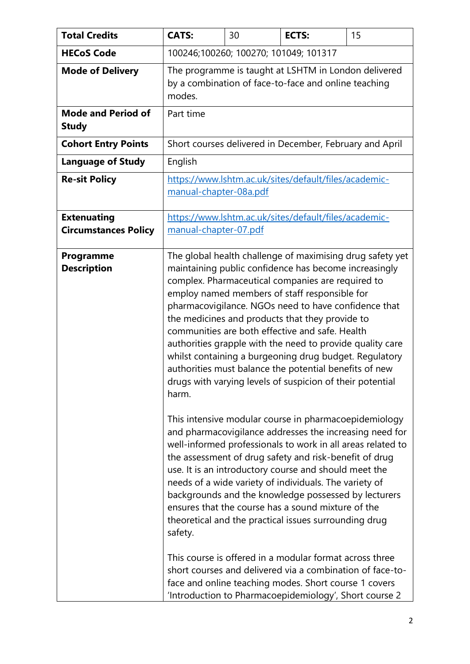| <b>Total Credits</b>                              | <b>CATS:</b>                                                                                                                                                                                                                                                                                                                                                                                                                                                                                                                                                                                                                                                                                                                                                                                                                                                                                                                                                                                                                                                                                                                                                                                                                                                                                                            | 30 | <b>ECTS:</b>                                            | 15 |  |
|---------------------------------------------------|-------------------------------------------------------------------------------------------------------------------------------------------------------------------------------------------------------------------------------------------------------------------------------------------------------------------------------------------------------------------------------------------------------------------------------------------------------------------------------------------------------------------------------------------------------------------------------------------------------------------------------------------------------------------------------------------------------------------------------------------------------------------------------------------------------------------------------------------------------------------------------------------------------------------------------------------------------------------------------------------------------------------------------------------------------------------------------------------------------------------------------------------------------------------------------------------------------------------------------------------------------------------------------------------------------------------------|----|---------------------------------------------------------|----|--|
| <b>HECoS Code</b>                                 | 100246;100260; 100270; 101049; 101317                                                                                                                                                                                                                                                                                                                                                                                                                                                                                                                                                                                                                                                                                                                                                                                                                                                                                                                                                                                                                                                                                                                                                                                                                                                                                   |    |                                                         |    |  |
| <b>Mode of Delivery</b>                           | The programme is taught at LSHTM in London delivered<br>by a combination of face-to-face and online teaching<br>modes.                                                                                                                                                                                                                                                                                                                                                                                                                                                                                                                                                                                                                                                                                                                                                                                                                                                                                                                                                                                                                                                                                                                                                                                                  |    |                                                         |    |  |
| <b>Mode and Period of</b><br><b>Study</b>         | Part time                                                                                                                                                                                                                                                                                                                                                                                                                                                                                                                                                                                                                                                                                                                                                                                                                                                                                                                                                                                                                                                                                                                                                                                                                                                                                                               |    |                                                         |    |  |
| <b>Cohort Entry Points</b>                        |                                                                                                                                                                                                                                                                                                                                                                                                                                                                                                                                                                                                                                                                                                                                                                                                                                                                                                                                                                                                                                                                                                                                                                                                                                                                                                                         |    | Short courses delivered in December, February and April |    |  |
| <b>Language of Study</b>                          | English                                                                                                                                                                                                                                                                                                                                                                                                                                                                                                                                                                                                                                                                                                                                                                                                                                                                                                                                                                                                                                                                                                                                                                                                                                                                                                                 |    |                                                         |    |  |
| <b>Re-sit Policy</b>                              | https://www.lshtm.ac.uk/sites/default/files/academic-<br>manual-chapter-08a.pdf                                                                                                                                                                                                                                                                                                                                                                                                                                                                                                                                                                                                                                                                                                                                                                                                                                                                                                                                                                                                                                                                                                                                                                                                                                         |    |                                                         |    |  |
| <b>Extenuating</b><br><b>Circumstances Policy</b> | https://www.lshtm.ac.uk/sites/default/files/academic-<br>manual-chapter-07.pdf                                                                                                                                                                                                                                                                                                                                                                                                                                                                                                                                                                                                                                                                                                                                                                                                                                                                                                                                                                                                                                                                                                                                                                                                                                          |    |                                                         |    |  |
| Programme<br><b>Description</b>                   | The global health challenge of maximising drug safety yet<br>maintaining public confidence has become increasingly<br>complex. Pharmaceutical companies are required to<br>employ named members of staff responsible for<br>pharmacovigilance. NGOs need to have confidence that<br>the medicines and products that they provide to<br>communities are both effective and safe. Health<br>authorities grapple with the need to provide quality care<br>whilst containing a burgeoning drug budget. Regulatory<br>authorities must balance the potential benefits of new<br>drugs with varying levels of suspicion of their potential<br>harm.<br>This intensive modular course in pharmacoepidemiology<br>and pharmacovigilance addresses the increasing need for<br>well-informed professionals to work in all areas related to<br>the assessment of drug safety and risk-benefit of drug<br>use. It is an introductory course and should meet the<br>needs of a wide variety of individuals. The variety of<br>backgrounds and the knowledge possessed by lecturers<br>ensures that the course has a sound mixture of the<br>theoretical and the practical issues surrounding drug<br>safety.<br>This course is offered in a modular format across three<br>short courses and delivered via a combination of face-to- |    |                                                         |    |  |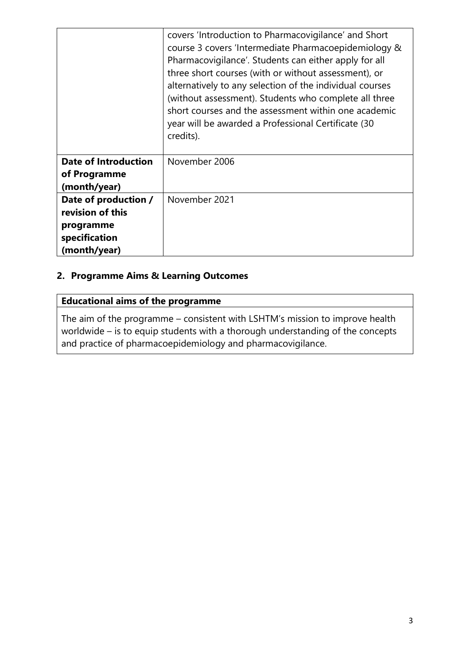|                             | covers 'Introduction to Pharmacovigilance' and Short<br>course 3 covers 'Intermediate Pharmacoepidemiology &<br>Pharmacovigilance'. Students can either apply for all<br>three short courses (with or without assessment), or<br>alternatively to any selection of the individual courses<br>(without assessment). Students who complete all three<br>short courses and the assessment within one academic<br>year will be awarded a Professional Certificate (30<br>credits). |
|-----------------------------|--------------------------------------------------------------------------------------------------------------------------------------------------------------------------------------------------------------------------------------------------------------------------------------------------------------------------------------------------------------------------------------------------------------------------------------------------------------------------------|
| <b>Date of Introduction</b> | November 2006                                                                                                                                                                                                                                                                                                                                                                                                                                                                  |
| of Programme                |                                                                                                                                                                                                                                                                                                                                                                                                                                                                                |
| (month/year)                |                                                                                                                                                                                                                                                                                                                                                                                                                                                                                |
| Date of production /        | November 2021                                                                                                                                                                                                                                                                                                                                                                                                                                                                  |
| revision of this            |                                                                                                                                                                                                                                                                                                                                                                                                                                                                                |
| programme                   |                                                                                                                                                                                                                                                                                                                                                                                                                                                                                |
| specification               |                                                                                                                                                                                                                                                                                                                                                                                                                                                                                |
| (month/year)                |                                                                                                                                                                                                                                                                                                                                                                                                                                                                                |

## **2. Programme Aims & Learning Outcomes**

| <b>Educational aims of the programme</b>                                                                                                                                                                                      |
|-------------------------------------------------------------------------------------------------------------------------------------------------------------------------------------------------------------------------------|
| The aim of the programme – consistent with LSHTM's mission to improve health<br>worldwide – is to equip students with a thorough understanding of the concepts<br>and practice of pharmacoepidemiology and pharmacovigilance. |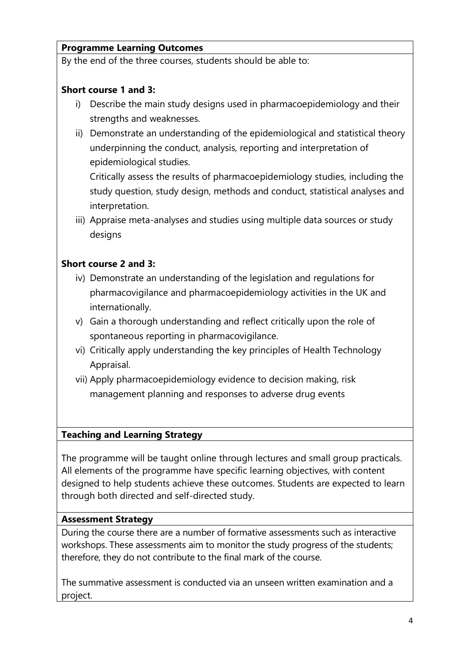## **Programme Learning Outcomes**

By the end of the three courses, students should be able to:

#### **Short course 1 and 3:**

- i) Describe the main study designs used in pharmacoepidemiology and their strengths and weaknesses.
- ii) Demonstrate an understanding of the epidemiological and statistical theory underpinning the conduct, analysis, reporting and interpretation of epidemiological studies.

Critically assess the results of pharmacoepidemiology studies, including the study question, study design, methods and conduct, statistical analyses and interpretation.

iii) Appraise meta-analyses and studies using multiple data sources or study designs

#### **Short course 2 and 3:**

- iv) Demonstrate an understanding of the legislation and regulations for pharmacovigilance and pharmacoepidemiology activities in the UK and internationally.
- v) Gain a thorough understanding and reflect critically upon the role of spontaneous reporting in pharmacovigilance.
- vi) Critically apply understanding the key principles of Health Technology Appraisal.
- vii) Apply pharmacoepidemiology evidence to decision making, risk management planning and responses to adverse drug events

#### **Teaching and Learning Strategy**

The programme will be taught online through lectures and small group practicals. All elements of the programme have specific learning objectives, with content designed to help students achieve these outcomes. Students are expected to learn through both directed and self-directed study.

#### **Assessment Strategy**

During the course there are a number of formative assessments such as interactive workshops. These assessments aim to monitor the study progress of the students; therefore, they do not contribute to the final mark of the course.

The summative assessment is conducted via an unseen written examination and a project.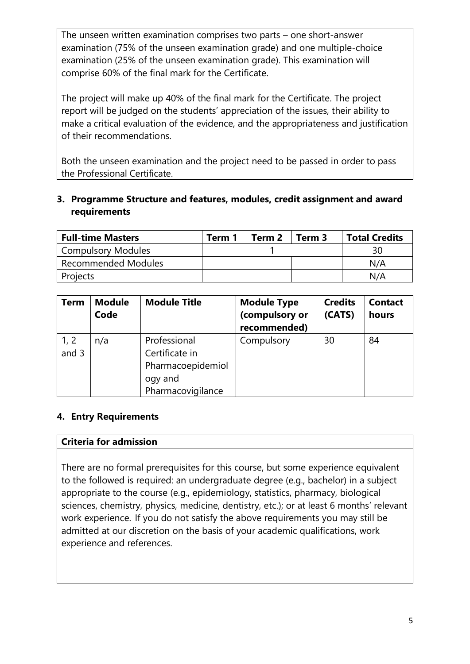The unseen written examination comprises two parts – one short-answer examination (75% of the unseen examination grade) and one multiple-choice examination (25% of the unseen examination grade). This examination will comprise 60% of the final mark for the Certificate.

The project will make up 40% of the final mark for the Certificate. The project report will be judged on the students' appreciation of the issues, their ability to make a critical evaluation of the evidence, and the appropriateness and justification of their recommendations.

Both the unseen examination and the project need to be passed in order to pass the Professional Certificate.

## **3. Programme Structure and features, modules, credit assignment and award requirements**

| <b>Full-time Masters</b>   | Term 1 | Term 2 | Term 3 | <b>Total Credits</b> |
|----------------------------|--------|--------|--------|----------------------|
| <b>Compulsory Modules</b>  |        |        |        | 30                   |
| <b>Recommended Modules</b> |        |        |        | N/A                  |
| Projects                   |        |        |        | N/A                  |

| <b>Term</b>     | <b>Module</b><br>Code | <b>Module Title</b>                                                                 | <b>Module Type</b><br>(compulsory or<br>recommended) | <b>Credits</b><br>(CATS) | <b>Contact</b><br>hours |
|-----------------|-----------------------|-------------------------------------------------------------------------------------|------------------------------------------------------|--------------------------|-------------------------|
| 1, 2<br>and $3$ | n/a                   | Professional<br>Certificate in<br>Pharmacoepidemiol<br>ogy and<br>Pharmacovigilance | Compulsory                                           | 30                       | 84                      |

## **4. Entry Requirements**

#### **Criteria for admission**

There are no formal prerequisites for this course, but some experience equivalent to the followed is required: an undergraduate degree (e.g., bachelor) in a subject appropriate to the course (e.g., epidemiology, statistics, pharmacy, biological sciences, chemistry, physics, medicine, dentistry, etc.); or at least 6 months' relevant work experience. If you do not satisfy the above requirements you may still be admitted at our discretion on the basis of your academic qualifications, work experience and references.